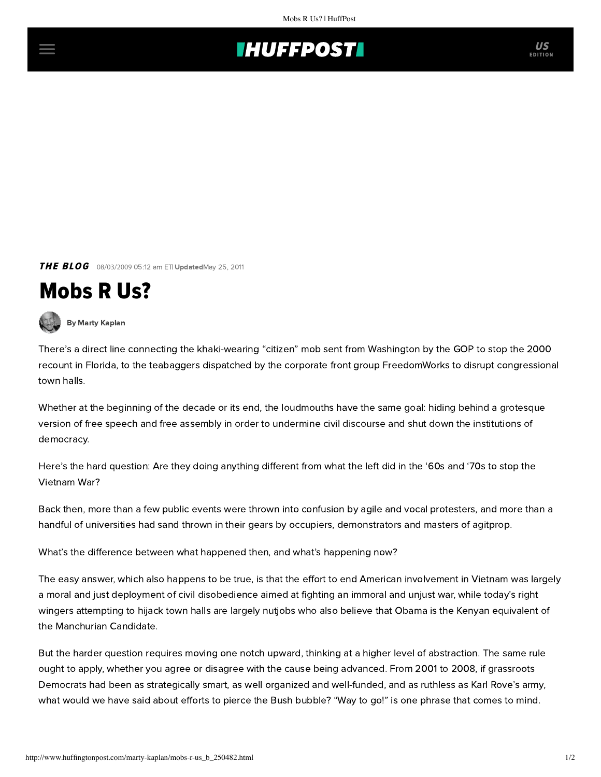

**THE BLOG** 08/03/2009 05:12 am ETI UpdatedMay 25, 2011

## Mobs R Us?



[By Marty Kaplan](http://www.huffingtonpost.com/author/marty-kaplan)

There's a direct line connecting the khaki-wearing "citizen" [mob sent from Washington](http://politicalhumor.about.com/library/blfloridagopmob.htm) by the GOP to stop the 2000 recount in Florida, to the teabaggers [dispatched by the corporate front group FreedomWorks](http://tpmdc.talkingpointsmemo.com/2009/08/tea-party-town-hall-strategy-rattle-them-stand-up-and-shout.php?ref=fpblg) to disrupt congressional town halls.

Whether at the beginning of the decade or its end, the loudmouths have the same goal: hiding behind a grotesque version of free speech and free assembly in order to undermine civil discourse and shut down the institutions of democracy.

Here's the hard question: Are they doing anything different from what the left did in the '60s and '70s to stop the Vietnam War?

Back then, more than a few public events were thrown into confusion by agile and vocal protesters, and more than a handful of universities had sand thrown in their gears by occupiers, demonstrators and masters of agitprop.

What's the difference between what happened then, and what's happening now?

The easy answer, which also happens to be true, is that the effort to end American involvement in Vietnam was largely a moral and just deployment of civil disobedience aimed at fighting an immoral and unjust war, while today's right wingers attempting to hijack town halls are largely nutjobs who also believe that Obama is the Kenyan equivalent of the Manchurian Candidate.

But the harder question requires moving one notch upward, thinking at a higher level of abstraction. The same rule ought to apply, whether you agree or disagree with the cause being advanced. From 2001 to 2008, if grassroots Democrats had been as strategically smart, as well organized and well-funded, and as ruthless as Karl Rove's army, what would we have said about efforts to pierce the Bush bubble? "Way to go!" is one phrase that comes to mind.